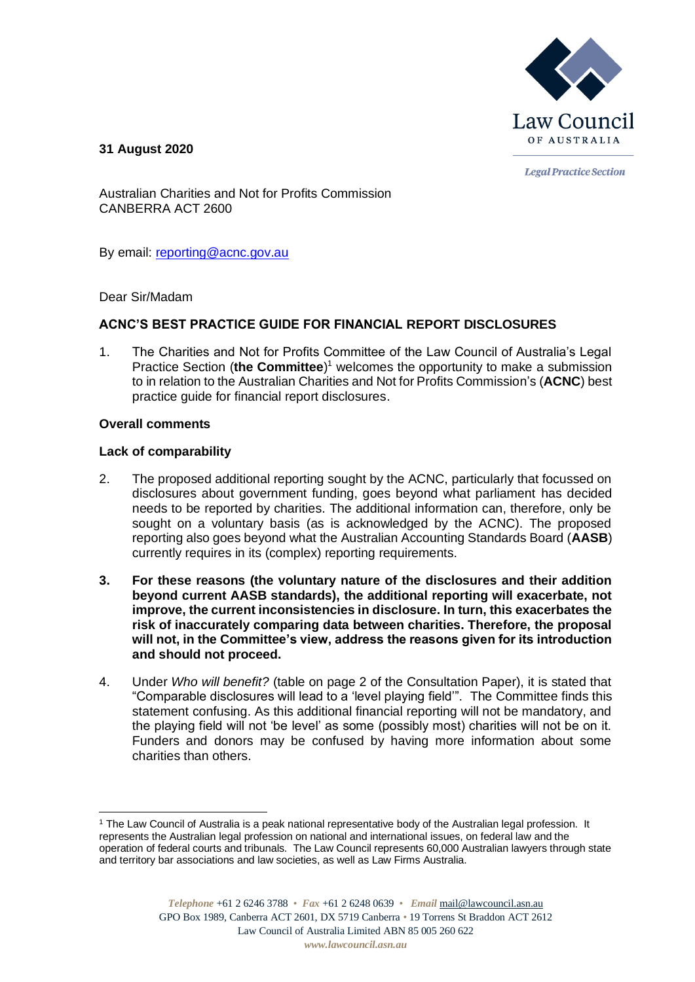

**31 August 2020**

**Legal Practice Section** 

Australian Charities and Not for Profits Commission CANBERRA ACT 2600

By email: [reporting@acnc.gov.au](mailto:reporting@acnc.gov.au)

Dear Sir/Madam

# **ACNC'S BEST PRACTICE GUIDE FOR FINANCIAL REPORT DISCLOSURES**

1. The Charities and Not for Profits Committee of the Law Council of Australia's Legal Practice Section (**the Committee**) <sup>1</sup> welcomes the opportunity to make a submission to in relation to the Australian Charities and Not for Profits Commission's (**ACNC**) best practice guide for financial report disclosures.

# **Overall comments**

## **Lack of comparability**

- 2. The proposed additional reporting sought by the ACNC, particularly that focussed on disclosures about government funding, goes beyond what parliament has decided needs to be reported by charities. The additional information can, therefore, only be sought on a voluntary basis (as is acknowledged by the ACNC). The proposed reporting also goes beyond what the Australian Accounting Standards Board (**AASB**) currently requires in its (complex) reporting requirements.
- **3. For these reasons (the voluntary nature of the disclosures and their addition beyond current AASB standards), the additional reporting will exacerbate, not improve, the current inconsistencies in disclosure. In turn, this exacerbates the risk of inaccurately comparing data between charities. Therefore, the proposal will not, in the Committee's view, address the reasons given for its introduction and should not proceed.**
- 4. Under *Who will benefit?* (table on page 2 of the Consultation Paper), it is stated that "Comparable disclosures will lead to a 'level playing field'". The Committee finds this statement confusing. As this additional financial reporting will not be mandatory, and the playing field will not 'be level' as some (possibly most) charities will not be on it. Funders and donors may be confused by having more information about some charities than others.

<sup>&</sup>lt;sup>1</sup> The Law Council of Australia is a peak national representative body of the Australian legal profession. It represents the Australian legal profession on national and international issues, on federal law and the operation of federal courts and tribunals. The Law Council represents 60,000 Australian lawyers through state and territory bar associations and law societies, as well as Law Firms Australia.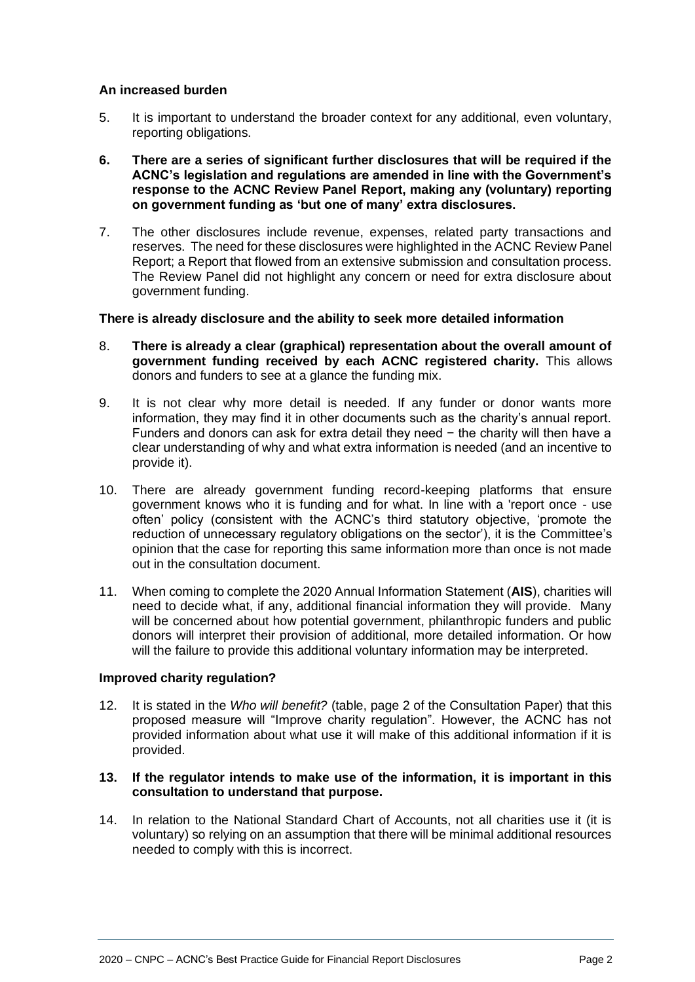# **An increased burden**

- 5. It is important to understand the broader context for any additional, even voluntary, reporting obligations.
- **6. There are a series of significant further disclosures that will be required if the ACNC's legislation and regulations are amended in line with the Government's response to the ACNC Review Panel Report, making any (voluntary) reporting on government funding as 'but one of many' extra disclosures.**
- 7. The other disclosures include revenue, expenses, related party transactions and reserves. The need for these disclosures were highlighted in the ACNC Review Panel Report; a Report that flowed from an extensive submission and consultation process. The Review Panel did not highlight any concern or need for extra disclosure about government funding.

## **There is already disclosure and the ability to seek more detailed information**

- 8. **There is already a clear (graphical) representation about the overall amount of government funding received by each ACNC registered charity.** This allows donors and funders to see at a glance the funding mix.
- 9. It is not clear why more detail is needed. If any funder or donor wants more information, they may find it in other documents such as the charity's annual report. Funders and donors can ask for extra detail they need − the charity will then have a clear understanding of why and what extra information is needed (and an incentive to provide it).
- 10. There are already government funding record-keeping platforms that ensure government knows who it is funding and for what. In line with a 'report once - use often' policy (consistent with the ACNC's third statutory objective, 'promote the reduction of unnecessary regulatory obligations on the sector'), it is the Committee's opinion that the case for reporting this same information more than once is not made out in the consultation document.
- 11. When coming to complete the 2020 Annual Information Statement (**AIS**), charities will need to decide what, if any, additional financial information they will provide. Many will be concerned about how potential government, philanthropic funders and public donors will interpret their provision of additional, more detailed information. Or how will the failure to provide this additional voluntary information may be interpreted.

#### **Improved charity regulation?**

- 12. It is stated in the *Who will benefit?* (table, page 2 of the Consultation Paper) that this proposed measure will "Improve charity regulation". However, the ACNC has not provided information about what use it will make of this additional information if it is provided.
- **13. If the regulator intends to make use of the information, it is important in this consultation to understand that purpose.**
- 14. In relation to the National Standard Chart of Accounts, not all charities use it (it is voluntary) so relying on an assumption that there will be minimal additional resources needed to comply with this is incorrect.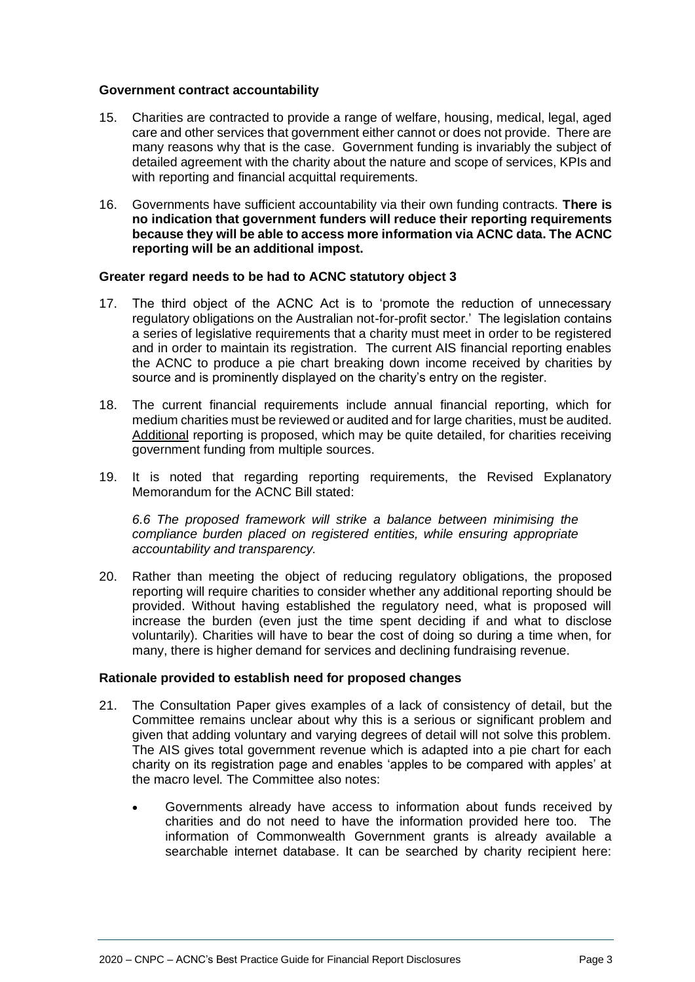#### **Government contract accountability**

- 15. Charities are contracted to provide a range of welfare, housing, medical, legal, aged care and other services that government either cannot or does not provide. There are many reasons why that is the case. Government funding is invariably the subject of detailed agreement with the charity about the nature and scope of services, KPIs and with reporting and financial acquittal requirements.
- 16. Governments have sufficient accountability via their own funding contracts. **There is no indication that government funders will reduce their reporting requirements because they will be able to access more information via ACNC data. The ACNC reporting will be an additional impost.**

# **Greater regard needs to be had to ACNC statutory object 3**

- 17. The third object of the ACNC Act is to 'promote the reduction of unnecessary regulatory obligations on the Australian not-for-profit sector.' The legislation contains a series of legislative requirements that a charity must meet in order to be registered and in order to maintain its registration. The current AIS financial reporting enables the ACNC to produce a pie chart breaking down income received by charities by source and is prominently displayed on the charity's entry on the register.
- 18. The current financial requirements include annual financial reporting, which for medium charities must be reviewed or audited and for large charities, must be audited. Additional reporting is proposed, which may be quite detailed, for charities receiving government funding from multiple sources.
- 19. It is noted that regarding reporting requirements, the Revised Explanatory Memorandum for the ACNC Bill stated:

*6.6 The proposed framework will strike a balance between minimising the compliance burden placed on registered entities, while ensuring appropriate accountability and transparency.* 

20. Rather than meeting the object of reducing regulatory obligations, the proposed reporting will require charities to consider whether any additional reporting should be provided. Without having established the regulatory need, what is proposed will increase the burden (even just the time spent deciding if and what to disclose voluntarily). Charities will have to bear the cost of doing so during a time when, for many, there is higher demand for services and declining fundraising revenue.

#### **Rationale provided to establish need for proposed changes**

- 21. The Consultation Paper gives examples of a lack of consistency of detail, but the Committee remains unclear about why this is a serious or significant problem and given that adding voluntary and varying degrees of detail will not solve this problem. The AIS gives total government revenue which is adapted into a pie chart for each charity on its registration page and enables 'apples to be compared with apples' at the macro level. The Committee also notes:
	- Governments already have access to information about funds received by charities and do not need to have the information provided here too. The information of Commonwealth Government grants is already available a searchable internet database. It can be searched by charity recipient here: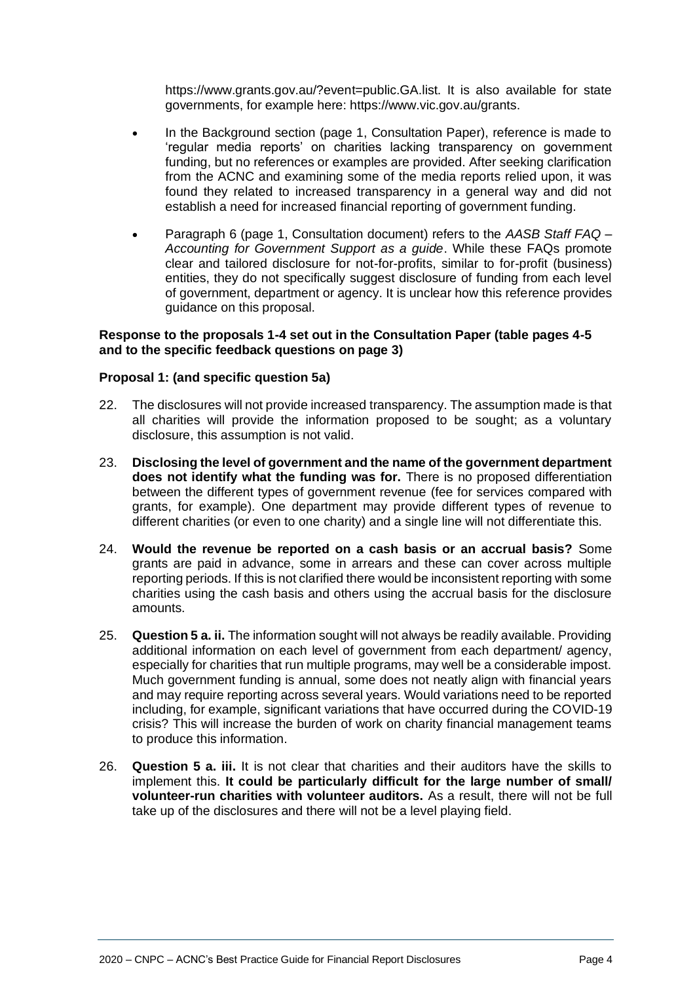https://www.grants.gov.au/?event=public.GA.list. It is also available for state governments, for example here: https://www.vic.gov.au/grants.

- In the Background section (page 1, Consultation Paper), reference is made to 'regular media reports' on charities lacking transparency on government funding, but no references or examples are provided. After seeking clarification from the ACNC and examining some of the media reports relied upon, it was found they related to increased transparency in a general way and did not establish a need for increased financial reporting of government funding.
- Paragraph 6 (page 1, Consultation document) refers to the *AASB Staff FAQ – Accounting for Government Support as a guide*. While these FAQs promote clear and tailored disclosure for not-for-profits, similar to for-profit (business) entities, they do not specifically suggest disclosure of funding from each level of government, department or agency. It is unclear how this reference provides guidance on this proposal.

## **Response to the proposals 1-4 set out in the Consultation Paper (table pages 4-5 and to the specific feedback questions on page 3)**

# **Proposal 1: (and specific question 5a)**

- 22. The disclosures will not provide increased transparency. The assumption made is that all charities will provide the information proposed to be sought; as a voluntary disclosure, this assumption is not valid.
- 23. **Disclosing the level of government and the name of the government department does not identify what the funding was for.** There is no proposed differentiation between the different types of government revenue (fee for services compared with grants, for example). One department may provide different types of revenue to different charities (or even to one charity) and a single line will not differentiate this.
- 24. **Would the revenue be reported on a cash basis or an accrual basis?** Some grants are paid in advance, some in arrears and these can cover across multiple reporting periods. If this is not clarified there would be inconsistent reporting with some charities using the cash basis and others using the accrual basis for the disclosure amounts.
- 25. **Question 5 a. ii.** The information sought will not always be readily available. Providing additional information on each level of government from each department/ agency, especially for charities that run multiple programs, may well be a considerable impost. Much government funding is annual, some does not neatly align with financial years and may require reporting across several years. Would variations need to be reported including, for example, significant variations that have occurred during the COVID-19 crisis? This will increase the burden of work on charity financial management teams to produce this information.
- 26. **Question 5 a. iii.** It is not clear that charities and their auditors have the skills to implement this. **It could be particularly difficult for the large number of small/ volunteer-run charities with volunteer auditors.** As a result, there will not be full take up of the disclosures and there will not be a level playing field.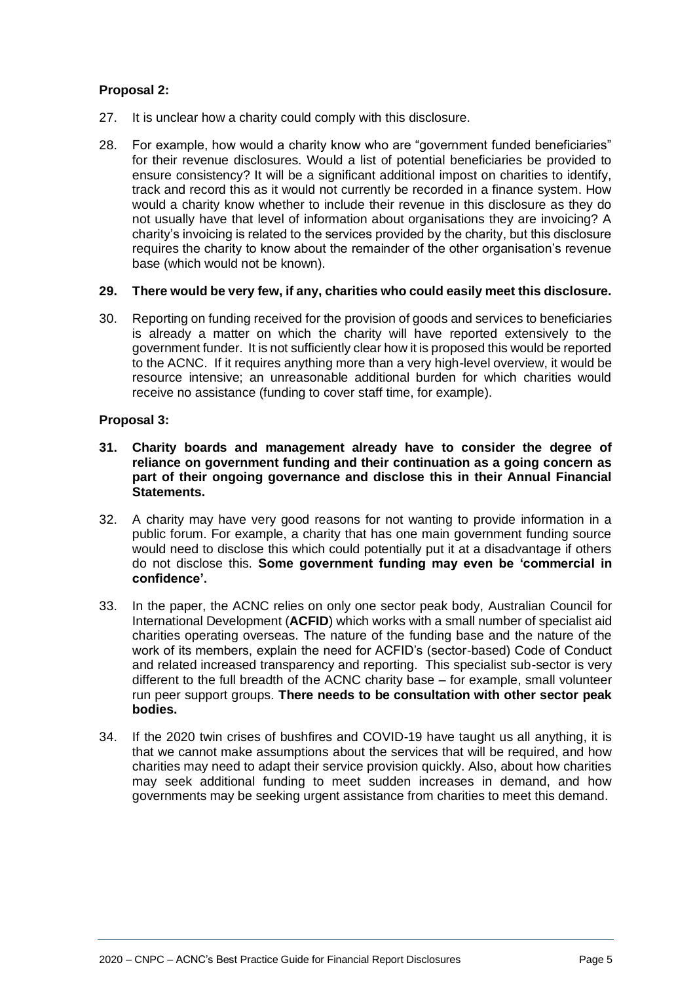# **Proposal 2:**

- 27. It is unclear how a charity could comply with this disclosure.
- 28. For example, how would a charity know who are "government funded beneficiaries" for their revenue disclosures. Would a list of potential beneficiaries be provided to ensure consistency? It will be a significant additional impost on charities to identify, track and record this as it would not currently be recorded in a finance system. How would a charity know whether to include their revenue in this disclosure as they do not usually have that level of information about organisations they are invoicing? A charity's invoicing is related to the services provided by the charity, but this disclosure requires the charity to know about the remainder of the other organisation's revenue base (which would not be known).

## **29. There would be very few, if any, charities who could easily meet this disclosure.**

30. Reporting on funding received for the provision of goods and services to beneficiaries is already a matter on which the charity will have reported extensively to the government funder. It is not sufficiently clear how it is proposed this would be reported to the ACNC. If it requires anything more than a very high-level overview, it would be resource intensive; an unreasonable additional burden for which charities would receive no assistance (funding to cover staff time, for example).

## **Proposal 3:**

- **31. Charity boards and management already have to consider the degree of reliance on government funding and their continuation as a going concern as part of their ongoing governance and disclose this in their Annual Financial Statements.**
- 32. A charity may have very good reasons for not wanting to provide information in a public forum. For example, a charity that has one main government funding source would need to disclose this which could potentially put it at a disadvantage if others do not disclose this. **Some government funding may even be 'commercial in confidence'.**
- 33. In the paper, the ACNC relies on only one sector peak body, Australian Council for International Development (**ACFID**) which works with a small number of specialist aid charities operating overseas. The nature of the funding base and the nature of the work of its members, explain the need for ACFID's (sector-based) Code of Conduct and related increased transparency and reporting. This specialist sub-sector is very different to the full breadth of the ACNC charity base – for example, small volunteer run peer support groups. **There needs to be consultation with other sector peak bodies.**
- 34. If the 2020 twin crises of bushfires and COVID-19 have taught us all anything, it is that we cannot make assumptions about the services that will be required, and how charities may need to adapt their service provision quickly. Also, about how charities may seek additional funding to meet sudden increases in demand, and how governments may be seeking urgent assistance from charities to meet this demand.